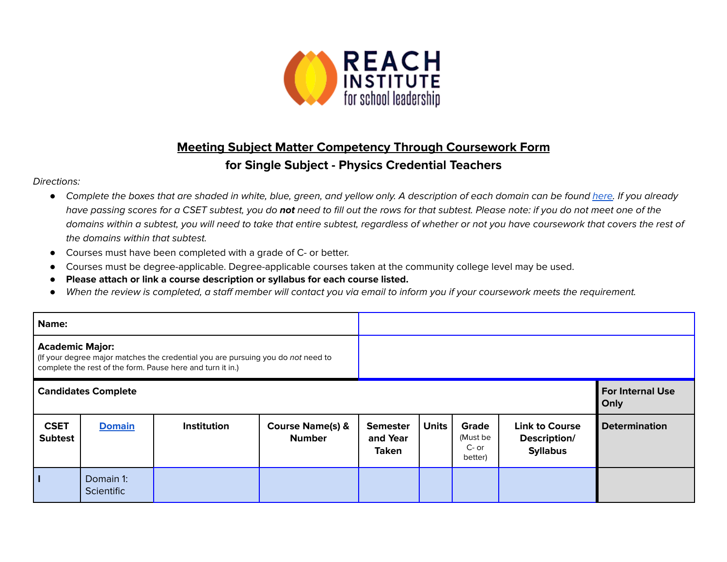

## **Meeting Subject Matter Competency Through Coursework Form for Single Subject - Physics Credential Teachers**

## Directions:

- *●* Complete the boxes that are shaded in white, blue, green, and yellow only. A description of each domain can be found [here.](https://www.ctc.ca.gov/docs/default-source/educator-prep/files/domains-of-subject-matter-requirements.pdf?sfvrsn=dcd525b1_2) If you already have passing scores for a CSET subtest, you do **not** need to fill out the rows for that subtest. Please note: if you do not meet one of the domains within a subtest, you will need to take that entire subtest, regardless of whether or not you have coursework that covers the rest of the domains within that subtest.
- *●* Courses must have been completed with a grade of C- or better.
- Courses must be degree-applicable. Degree-applicable courses taken at the community college level may be used.
- *●* **Please attach or link a course description or syllabus for each course listed.**
- *●* When the review is completed, a staff member will contact you via email to inform you if your coursework meets the requirement.

| Name:                                                                                                                                                                    |                                |             |                                              |                                             |                                 |                                         |                                                          |                      |
|--------------------------------------------------------------------------------------------------------------------------------------------------------------------------|--------------------------------|-------------|----------------------------------------------|---------------------------------------------|---------------------------------|-----------------------------------------|----------------------------------------------------------|----------------------|
| <b>Academic Major:</b><br>(If your degree major matches the credential you are pursuing you do not need to<br>complete the rest of the form. Pause here and turn it in.) |                                |             |                                              |                                             |                                 |                                         |                                                          |                      |
| <b>Candidates Complete</b>                                                                                                                                               |                                |             |                                              |                                             | <b>For Internal Use</b><br>Only |                                         |                                                          |                      |
| <b>CSET</b><br><b>Subtest</b>                                                                                                                                            | <b>Domain</b>                  | Institution | <b>Course Name(s) &amp;</b><br><b>Number</b> | <b>Semester</b><br>and Year<br><b>Taken</b> | <b>Units</b>                    | Grade<br>(Must be<br>$C-$ or<br>better) | <b>Link to Course</b><br>Description/<br><b>Syllabus</b> | <b>Determination</b> |
|                                                                                                                                                                          | Domain 1:<br><b>Scientific</b> |             |                                              |                                             |                                 |                                         |                                                          |                      |